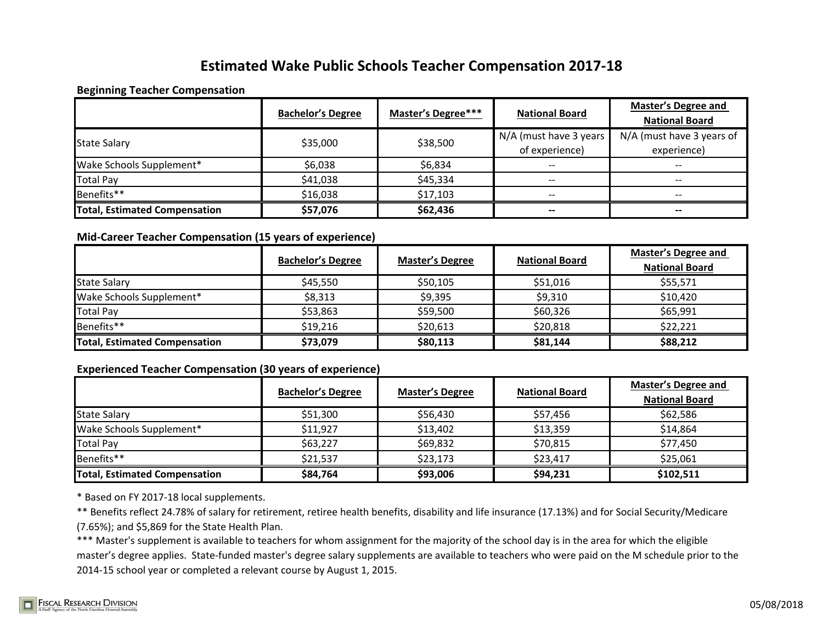# **Estimated Wake Public Schools Teacher Compensation 2017-18**

### **Beginning Teacher Compensation**

|                               | <b>Bachelor's Degree</b> | Master's Degree*** | <b>National Board</b>    | <b>Master's Degree and</b><br><b>National Board</b> |
|-------------------------------|--------------------------|--------------------|--------------------------|-----------------------------------------------------|
| <b>State Salary</b>           | \$35,000                 | \$38,500           | N/A (must have 3 years   | N/A (must have 3 years of                           |
|                               |                          |                    | of experience)           | experience)                                         |
| Wake Schools Supplement*      | \$6,038                  | \$6,834            | $- -$                    | --                                                  |
| <b>Total Pay</b>              | \$41,038                 | \$45,334           |                          | --                                                  |
| Benefits**                    | \$16,038                 | \$17,103           | $\overline{\phantom{m}}$ | $- -$                                               |
| Total, Estimated Compensation | \$57,076                 | \$62,436           | $- -$                    | --                                                  |

## **Mid-Career Teacher Compensation (15 years of experience)**

|                                      | <b>Bachelor's Degree</b> | <b>Master's Degree</b> | <b>National Board</b> | <b>Master's Degree and</b><br><b>National Board</b> |
|--------------------------------------|--------------------------|------------------------|-----------------------|-----------------------------------------------------|
| <b>State Salary</b>                  | \$45,550                 | \$50,105               | \$51,016              | \$55,571                                            |
| Wake Schools Supplement*             | \$8,313                  | \$9,395                | \$9,310               | \$10,420                                            |
| <b>Total Pay</b>                     | \$53,863                 | \$59,500               | \$60,326              | \$65,991                                            |
| Benefits**                           | \$19,216                 | \$20,613               | \$20,818              | \$22,221                                            |
| <b>Total, Estimated Compensation</b> | \$73,079                 | \$80,113               | \$81,144              | \$88,212                                            |

## **Experienced Teacher Compensation (30 years of experience)**

|                                      | <b>Bachelor's Degree</b> | <b>Master's Degree</b> | <b>National Board</b> | <b>Master's Degree and</b><br><b>National Board</b> |
|--------------------------------------|--------------------------|------------------------|-----------------------|-----------------------------------------------------|
| <b>State Salary</b>                  | \$51,300                 | \$56,430               | \$57,456              | \$62,586                                            |
| Wake Schools Supplement*             | \$11,927                 | \$13,402               | \$13,359              | \$14,864                                            |
| <b>Total Pay</b>                     | \$63,227                 | \$69,832               | \$70,815              | \$77,450                                            |
| Benefits**                           | \$21,537                 | \$23,173               | \$23,417              | \$25,061                                            |
| <b>Total, Estimated Compensation</b> | \$84,764                 | \$93,006               | \$94,231              | \$102,511                                           |

\* Based on FY 2017-18 local supplements.

\*\* Benefits reflect 24.78% of salary for retirement, retiree health benefits, disability and life insurance (17.13%) and for Social Security/Medicare (7.65%); and \$5,869 for the State Health Plan.

\*\*\* Master's supplement is available to teachers for whom assignment for the majority of the school day is in the area for which the eligible master's degree applies. State-funded master's degree salary supplements are available to teachers who were paid on the M schedule prior to the 2014-15 school year or completed a relevant course by August 1, 2015.

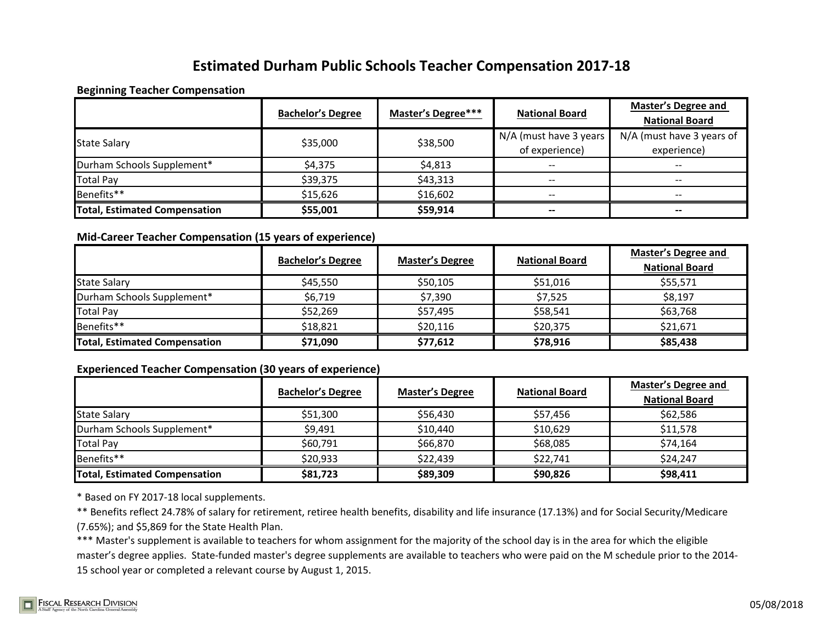# **Estimated Durham Public Schools Teacher Compensation 2017-18**

### **Beginning Teacher Compensation**

|                                      | <b>Bachelor's Degree</b> | Master's Degree*** | <b>National Board</b>  | <b>Master's Degree and</b><br><b>National Board</b> |
|--------------------------------------|--------------------------|--------------------|------------------------|-----------------------------------------------------|
| <b>State Salary</b>                  | \$35,000                 | \$38,500           | N/A (must have 3 years | N/A (must have 3 years of                           |
|                                      |                          |                    | of experience)         | experience)                                         |
| Durham Schools Supplement*           | \$4,375                  | \$4,813            | --                     | --                                                  |
| <b>Total Pay</b>                     | \$39,375                 | \$43,313           | --                     | --                                                  |
| Benefits**                           | \$15,626                 | \$16,602           | $- -$                  | $- -$                                               |
| <b>Total, Estimated Compensation</b> | \$55,001                 | \$59,914           | --                     | --                                                  |

## **Mid-Career Teacher Compensation (15 years of experience)**

|                                      | <b>Bachelor's Degree</b> | <b>Master's Degree</b> | <b>National Board</b> | <b>Master's Degree and</b><br><b>National Board</b> |
|--------------------------------------|--------------------------|------------------------|-----------------------|-----------------------------------------------------|
| <b>State Salary</b>                  | \$45,550                 | \$50,105               | \$51,016              | \$55,571                                            |
| Durham Schools Supplement*           | \$6,719                  | \$7,390                | \$7,525               | \$8,197                                             |
| <b>Total Pay</b>                     | \$52,269                 | \$57,495               | \$58,541              | \$63,768                                            |
| Benefits**                           | \$18,821                 | \$20,116               | \$20,375              | \$21,671                                            |
| <b>Total, Estimated Compensation</b> | \$71,090                 | \$77,612               | \$78,916              | \$85,438                                            |

### **Experienced Teacher Compensation (30 years of experience)**

|                                      | <b>Bachelor's Degree</b> | <b>Master's Degree</b> | <b>National Board</b> | Master's Degree and<br><b>National Board</b> |
|--------------------------------------|--------------------------|------------------------|-----------------------|----------------------------------------------|
| <b>State Salary</b>                  | \$51,300                 | \$56,430               | \$57,456              | \$62,586                                     |
| Durham Schools Supplement*           | \$9,491                  | \$10,440               | \$10,629              | \$11,578                                     |
| Total Pay                            | \$60,791                 | \$66,870               | \$68,085              | \$74,164                                     |
| Benefits**                           | \$20,933                 | \$22,439               | \$22,741              | \$24.247                                     |
| <b>Total, Estimated Compensation</b> | \$81,723                 | \$89,309               | \$90,826              | \$98,411                                     |

\* Based on FY 2017-18 local supplements.

\*\* Benefits reflect 24.78% of salary for retirement, retiree health benefits, disability and life insurance (17.13%) and for Social Security/Medicare (7.65%); and \$5,869 for the State Health Plan.

\*\*\* Master's supplement is available to teachers for whom assignment for the majority of the school day is in the area for which the eligible master's degree applies. State-funded master's degree supplements are available to teachers who were paid on the M schedule prior to the 2014- 15 school year or completed a relevant course by August 1, 2015.

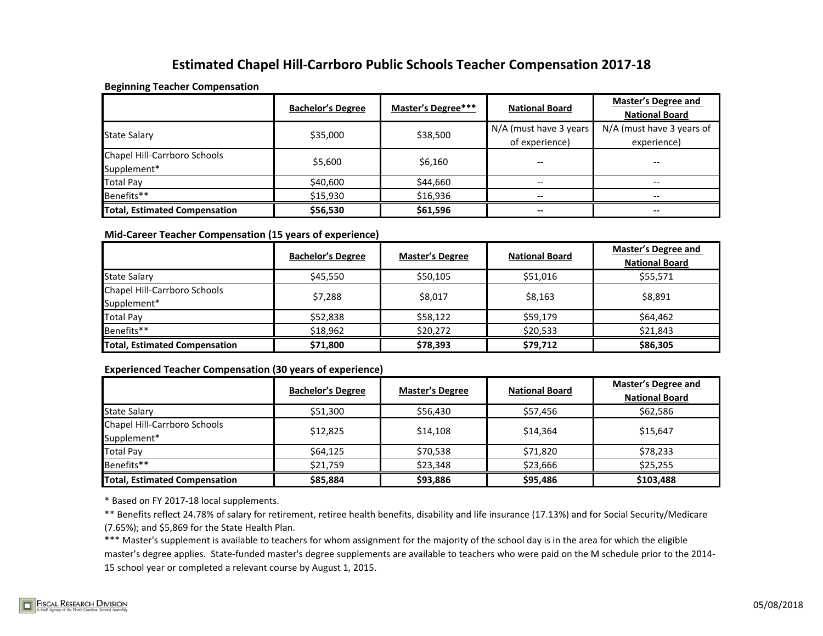## **Estimated Chapel Hill-Carrboro Public Schools Teacher Compensation 2017-18**

#### **Beginning Teacher Compensation**

|                                      | <b>Bachelor's Degree</b> | Master's Degree*** | <b>National Board</b>  | <b>Master's Degree and</b><br><b>National Board</b> |
|--------------------------------------|--------------------------|--------------------|------------------------|-----------------------------------------------------|
|                                      | \$35,000                 | \$38,500           | N/A (must have 3 years | N/A (must have 3 years of                           |
| <b>State Salary</b>                  |                          |                    | of experience)         | experience)                                         |
| Chapel Hill-Carrboro Schools         | \$5,600                  | \$6,160            |                        |                                                     |
| Supplement*                          |                          |                    |                        |                                                     |
| <b>Total Pay</b>                     | \$40,600                 | \$44,660           | --                     | $- -$                                               |
| Benefits**                           | \$15,930                 | \$16,936           |                        |                                                     |
| <b>Total, Estimated Compensation</b> | \$56,530                 | \$61,596           | --                     | $- -$                                               |

### **Mid-Career Teacher Compensation (15 years of experience)**

|                                             | <b>Bachelor's Degree</b> | <b>Master's Degree</b> | <b>National Board</b> | <b>Master's Degree and</b><br><b>National Board</b> |
|---------------------------------------------|--------------------------|------------------------|-----------------------|-----------------------------------------------------|
| <b>State Salary</b>                         | \$45,550                 | \$50,105               | \$51,016              | \$55,571                                            |
| Chapel Hill-Carrboro Schools<br>Supplement* | \$7,288                  | \$8,017                | \$8,163               | \$8,891                                             |
| <b>Total Pay</b>                            | \$52,838                 | \$58,122               | \$59,179              | \$64,462                                            |
| Benefits**                                  | \$18,962                 | \$20,272               | \$20,533              | \$21,843                                            |
| <b>Total, Estimated Compensation</b>        | \$71,800                 | \$78,393               | \$79,712              | \$86,305                                            |

### **Experienced Teacher Compensation (30 years of experience)**

|                                             | <b>Bachelor's Degree</b> | <b>Master's Degree</b> | <b>National Board</b> | <b>Master's Degree and</b><br><b>National Board</b> |
|---------------------------------------------|--------------------------|------------------------|-----------------------|-----------------------------------------------------|
| <b>State Salary</b>                         | \$51.300                 | \$56,430               | \$57.456              | \$62.586                                            |
| Chapel Hill-Carrboro Schools<br>Supplement* | \$12,825                 | \$14,108               | \$14,364              | \$15.647                                            |
| <b>Total Pay</b>                            | \$64,125                 | \$70,538               | \$71,820              | \$78,233                                            |
| Benefits**                                  | \$21,759                 | \$23,348               | \$23,666              | \$25,255                                            |
| <b>Total, Estimated Compensation</b>        | \$85,884                 | \$93,886               | \$95,486              | \$103,488                                           |

\* Based on FY 2017-18 local supplements.

\*\* Benefits reflect 24.78% of salary for retirement, retiree health benefits, disability and life insurance (17.13%) and for Social Security/Medicare (7.65%); and \$5,869 for the State Health Plan.

\*\*\* Master's supplement is available to teachers for whom assignment for the majority of the school day is in the area for which the eligible master's degree applies. State-funded master's degree supplements are available to teachers who were paid on the M schedule prior to the 2014- 15 school year or completed a relevant course by August 1, 2015.